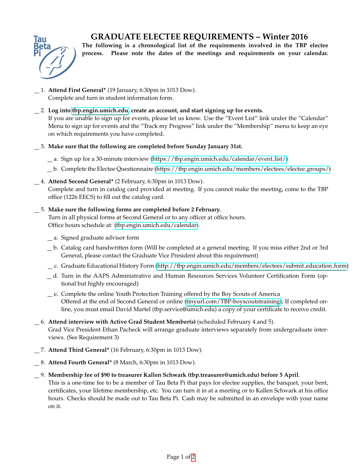## **GRADUATE ELECTEE REQUIREMENTS – Winter 2016**



**The following is a chronological list of the requirements involved in the TBP electee process. Please note the dates of the meetings and requirements on your calendar.**

- 1. **Attend First General\*** (19 January, 6:30pm in 1013 Dow). Complete and turn in student information form.
- 2. **Log into [tbp.engin.umich.edu,](http://tbp.engin.umich.edu) create an account, and start signing up for events.** If you are unable to sign up for events, please let us know. Use the "Event List" link under the "Calendar" Menu to sign up for events and the "Track my Progress" link under the "Membership" menu to keep an eye on which requirements you have completed.
- 3. **Make sure that the following are completed before Sunday January 31st.**
	- a. Sign up for a 30-minute interview [\(https://tbp.engin.umich.edu/calendar/event](https://tbp.engin.umich.edu/calendar/event_list/) list/)
	- b. Complete the Electee Questionnaire [\(https://tbp.engin.umich.edu/members/electees/electee](https://tbp.engin.umich.edu/members/electees/electee_groups/) groups/)
- 4. **Attend Second General\*** (2 February, 6:30pm in 1013 Dow).

Complete and turn in catalog card provided at meeting. If you cannot make the meeting, come to the TBP office (1226 EECS) to fill out the catalog card.

## 5. **Make sure the following forms are completed before 2 February.**

Turn in all physical forms at Second General or to any officer at office hours. Office hours schedule at: [\(tbp.engin.umich.edu/calendar\)](http://tbp.engin.umich.edu/calendar/).

- a. Signed graduate advisor form
- b. Catalog card handwritten form (Will be completed at a general meeting. If you miss either 2nd or 3rd General, please contact the Graduate Vice President about this requirement)
- c. Graduate Educational History Form [\(http://tbp.engin.umich.edu/members/electees/submit](http://tbp.engin.umich.edu/members/electees/submit_education_form) education form)
- d. Turn in the AAPS Administrative and Human Resources Services Volunteer Certification Form (optional but highly encouraged)
- e. Complete the online Youth Protection Training offered by the Boy Scouts of America Offered at the end of Second General or online [\(tinyurl.com/TBP-boyscoutstraining\)](http://tinyurl.com/TBP-boyscoutstraining); If completed online, you must email David Martel (tbp.service@umich.edu) a copy of your certificate to receive credit.
- 6. **Attend interview with Active Grad Student Member(s)** (scheduled February 4 and 5). Grad Vice President Ethan Pacheck will arrange graduate interviews separately from undergraduate interviews. (See Requirement 3)
- 7. **Attend Third General\*** (16 February, 6:30pm in 1013 Dow).
- 8. **Attend Fourth General\*** (8 March, 6:30pm in 1013 Dow).
- 9. **Membership fee of \$90 to treasurer Kallen Schwark (tbp.treasurer@umich.edu) before 5 April**. This is a one-time fee to be a member of Tau Beta Pi that pays for electee supplies, the banquet, your bent, certificates, your lifetime membership, etc. You can turn it in at a meeting or to Kallen Schwark at his office hours. Checks should be made out to Tau Beta Pi. Cash may be submitted in an envelope with your name on it.